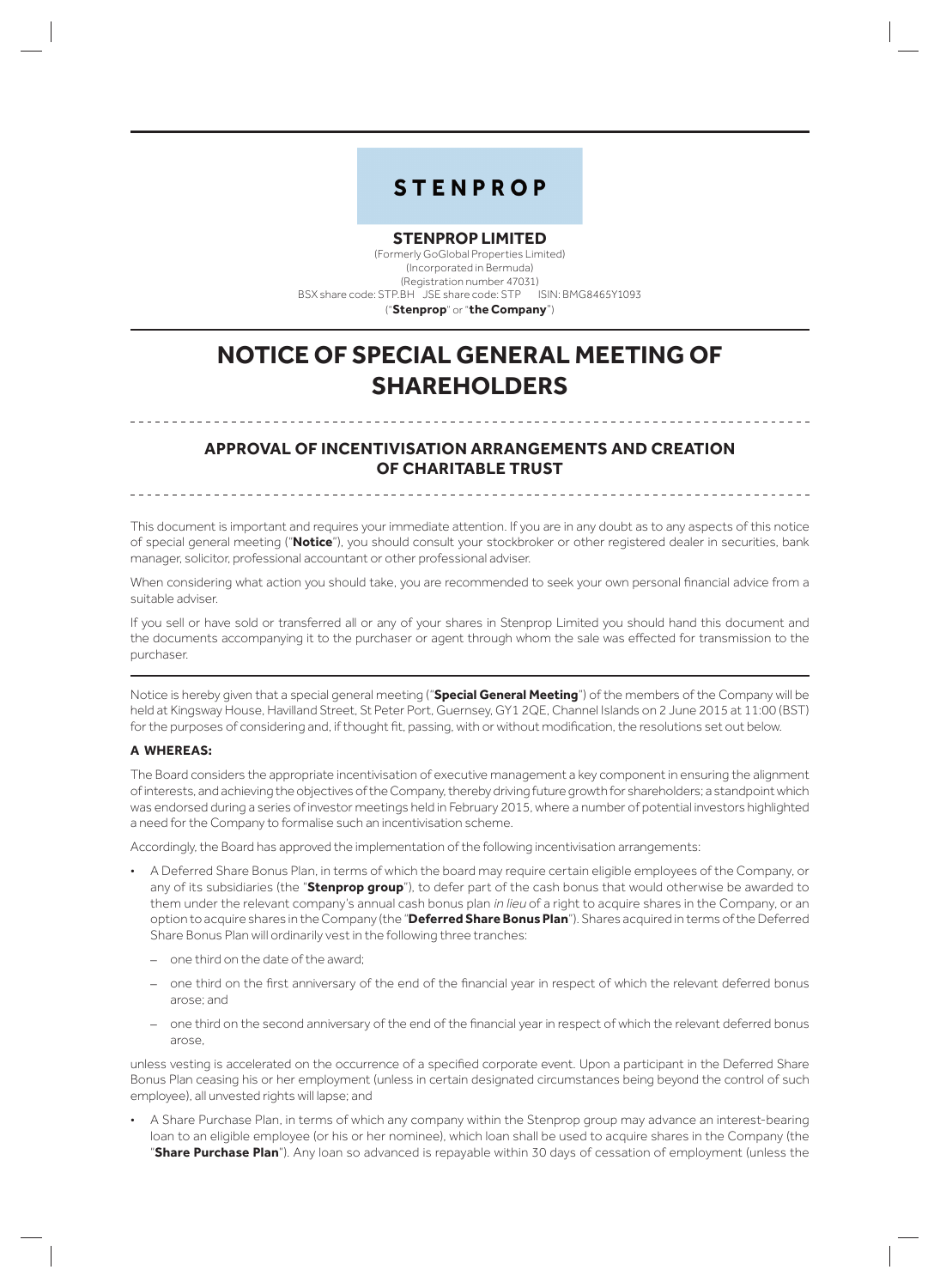# **STENPROP**

## **STENPROP LIMITED**

(Formerly GoGlobal Properties Limited) (Incorporated in Bermuda) (Registration number 47031) BSX share code: STP.BH JSE share code: STP ISIN: BMG8465Y1093 ("**Stenprop**" or "**the Company**")

**NOTICE OF SPECIAL GENERAL MEETING OF SHAREHOLDERS**

# **APPROVAL OF INCENTIVISATION ARRANGEMENTS AND CREATION OF CHARITABLE TRUST**

This document is important and requires your immediate attention. If you are in any doubt as to any aspects of this notice of special general meeting ("**Notice**"), you should consult your stockbroker or other registered dealer in securities, bank manager, solicitor, professional accountant or other professional adviser.

When considering what action you should take, you are recommended to seek your own personal financial advice from a suitable adviser.

If you sell or have sold or transferred all or any of your shares in Stenprop Limited you should hand this document and the documents accompanying it to the purchaser or agent through whom the sale was effected for transmission to the purchaser.

Notice is hereby given that a special general meeting ("**Special General Meeting**") of the members of the Company will be held at Kingsway House, Havilland Street, St Peter Port, Guernsey, GY1 2QE, Channel Islands on 2 June 2015 at 11:00 (BST) for the purposes of considering and, if thought fit, passing, with or without modification, the resolutions set out below.

## **A WHEREAS:**

The Board considers the appropriate incentivisation of executive management a key component in ensuring the alignment of interests, and achieving the objectives of the Company, thereby driving future growth for shareholders; a standpoint which was endorsed during a series of investor meetings held in February 2015, where a number of potential investors highlighted a need for the Company to formalise such an incentivisation scheme.

Accordingly, the Board has approved the implementation of the following incentivisation arrangements:

- A Deferred Share Bonus Plan, in terms of which the board may require certain eligible employees of the Company, or any of its subsidiaries (the "**Stenprop group**"), to defer part of the cash bonus that would otherwise be awarded to them under the relevant company's annual cash bonus plan in lieu of a right to acquire shares in the Company, or an option to acquire shares in the Company (the "**Deferred Share Bonus Plan**"). Shares acquired in terms of the Deferred Share Bonus Plan will ordinarily vest in the following three tranches:
	- one third on the date of the award;
	- one third on the first anniversary of the end of the financial year in respect of which the relevant deferred bonus arose; and
	- one third on the second anniversary of the end of the financial year in respect of which the relevant deferred bonus arose,

unless vesting is accelerated on the occurrence of a specified corporate event. Upon a participant in the Deferred Share Bonus Plan ceasing his or her employment (unless in certain designated circumstances being beyond the control of such employee), all unvested rights will lapse; and

• A Share Purchase Plan, in terms of which any company within the Stenprop group may advance an interest-bearing loan to an eligible employee (or his or her nominee), which loan shall be used to acquire shares in the Company (the "**Share Purchase Plan**"). Any loan so advanced is repayable within 30 days of cessation of employment (unless the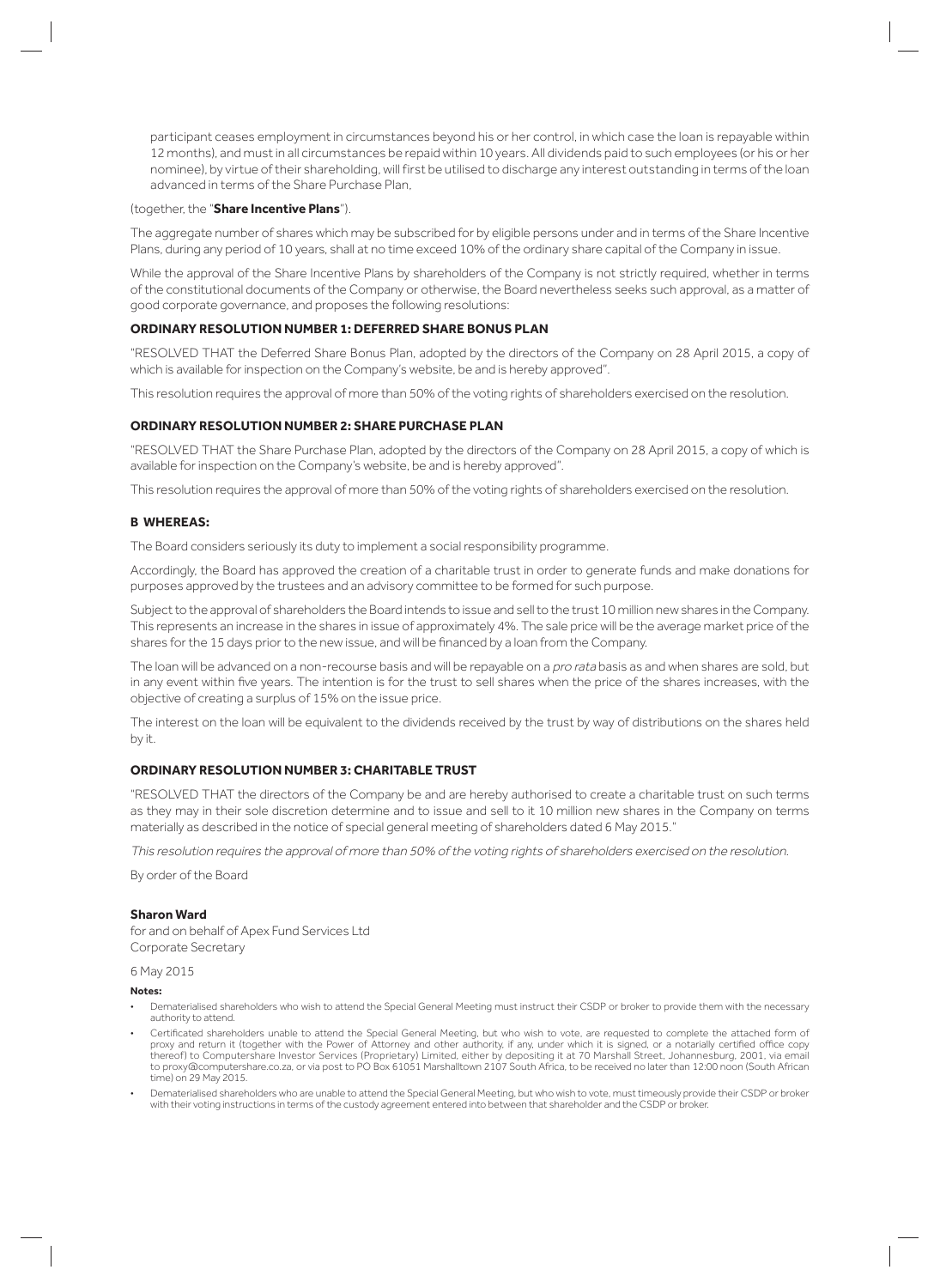participant ceases employment in circumstances beyond his or her control, in which case the loan is repayable within 12 months), and must in all circumstances be repaid within 10 years. All dividends paid to such employees (or his or her nominee), by virtue of their shareholding, will first be utilised to discharge any interest outstanding in terms of the loan advanced in terms of the Share Purchase Plan,

#### (together, the "**Share Incentive Plans**").

The aggregate number of shares which may be subscribed for by eligible persons under and in terms of the Share Incentive Plans, during any period of 10 years, shall at no time exceed 10% of the ordinary share capital of the Company in issue.

While the approval of the Share Incentive Plans by shareholders of the Company is not strictly required, whether in terms of the constitutional documents of the Company or otherwise, the Board nevertheless seeks such approval, as a matter of good corporate governance, and proposes the following resolutions:

## **ORDINARY RESOLUTION NUMBER 1: DEFERRED SHARE BONUS PLAN**

"RESOLVED THAT the Deferred Share Bonus Plan, adopted by the directors of the Company on 28 April 2015, a copy of which is available for inspection on the Company's website, be and is hereby approved".

This resolution requires the approval of more than 50% of the voting rights of shareholders exercised on the resolution.

## **ORDINARY RESOLUTION NUMBER 2: SHARE PURCHASE PLAN**

"RESOLVED THAT the Share Purchase Plan, adopted by the directors of the Company on 28 April 2015 , a copy of which is available for inspection on the Company's website, be and is hereby approved".

This resolution requires the approval of more than 50% of the voting rights of shareholders exercised on the resolution.

## **B WHEREAS:**

The Board considers seriously its duty to implement a social responsibility programme.

Accordingly, the Board has approved the creation of a charitable trust in order to generate funds and make donations for purposes approved by the trustees and an advisory committee to be formed for such purpose.

Subject to the approval of shareholders the Board intends to issue and sell to the trust 10 million new shares in the Company. This represents an increase in the shares in issue of approximately 4%. The sale price will be the average market price of the shares for the 15 days prior to the new issue, and will be financed by a loan from the Company.

The loan will be advanced on a non-recourse basis and will be repayable on a pro rata basis as and when shares are sold, but in any event within five years. The intention is for the trust to sell shares when the price of the shares increases, with the objective of creating a surplus of 15% on the issue price.

The interest on the loan will be equivalent to the dividends received by the trust by way of distributions on the shares held by it.

## **ORDINARY RESOLUTION NUMBER 3: CHARITABLE TRUST**

"RESOLVED THAT the directors of the Company be and are hereby authorised to create a charitable trust on such terms as they may in their sole discretion determine and to issue and sell to it 10 million new shares in the Company on terms materially as described in the notice of special general meeting of shareholders dated 6 May 2015."

This resolution requires the approval of more than 50% of the voting rights of shareholders exercised on the resolution.

By order of the Board

## **Sharon Ward**

for and on behalf of Apex Fund Services Ltd Corporate Secretary

#### 6 May 2015

**Notes:** 

- Dematerialised shareholders who wish to attend the Special General Meeting must instruct their CSDP or broker to provide them with the necessary authority to attend.
- Certificated shareholders unable to attend the Special General Meeting, but who wish to vote, are requested to complete the attached form of proxy and return it (together with the Power of Attorney and other authority, if any, under which it is signed, or a notarially certified office copy thereof) to Computershare Investor Services (Proprietary) Limited, either by depositing it at 70 Marshall Street, Johannesburg, 2001, via email to proxy@computershare.co.za, or via post to PO Box 61051 Marshalltown 2107 South Africa, to be received no later than 12:00 noon (South African time) on 29 May 2015.
- Dematerialised shareholders who are unable to attend the Special General Meeting, but who wish to vote, must timeously provide their CSDP or broker with their voting instructions in terms of the custody agreement entered into between that shareholder and the CSDP or broker.